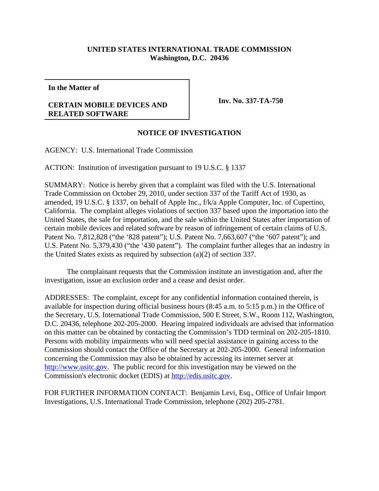## **UNITED STATES INTERNATIONAL TRADE COMMISSION Washington, D.C. 20436**

**In the Matter of**

## **CERTAIN MOBILE DEVICES AND RELATED SOFTWARE**

**Inv. No. 337-TA-750**

## **NOTICE OF INVESTIGATION**

AGENCY: U.S. International Trade Commission

ACTION: Institution of investigation pursuant to 19 U.S.C. § 1337

SUMMARY: Notice is hereby given that a complaint was filed with the U.S. International Trade Commission on October 29, 2010, under section 337 of the Tariff Act of 1930, as amended, 19 U.S.C. § 1337, on behalf of Apple Inc., f/k/a Apple Computer, Inc. of Cupertino, California. The complaint alleges violations of section 337 based upon the importation into the United States, the sale for importation, and the sale within the United States after importation of certain mobile devices and related software by reason of infringement of certain claims of U.S. Patent No. 7,812,828 ("the '828 patent"); U.S. Patent No. 7,663,607 ("the '607 patent"); and U.S. Patent No. 5,379,430 ("the '430 patent"). The complaint further alleges that an industry in the United States exists as required by subsection (a)(2) of section 337.

The complainant requests that the Commission institute an investigation and, after the investigation, issue an exclusion order and a cease and desist order.

ADDRESSES: The complaint, except for any confidential information contained therein, is available for inspection during official business hours (8:45 a.m. to 5:15 p.m.) in the Office of the Secretary, U.S. International Trade Commission, 500 E Street, S.W., Room 112, Washington, D.C. 20436, telephone 202-205-2000. Hearing impaired individuals are advised that information on this matter can be obtained by contacting the Commission's TDD terminal on 202-205-1810. Persons with mobility impairments who will need special assistance in gaining access to the Commission should contact the Office of the Secretary at 202-205-2000. General information concerning the Commission may also be obtained by accessing its internet server at http://www.usitc.gov. The public record for this investigation may be viewed on the Commission's electronic docket (EDIS) at http://edis.usitc.gov.

FOR FURTHER INFORMATION CONTACT: Benjamin Levi, Esq., Office of Unfair Import Investigations, U.S. International Trade Commission, telephone (202) 205-2781.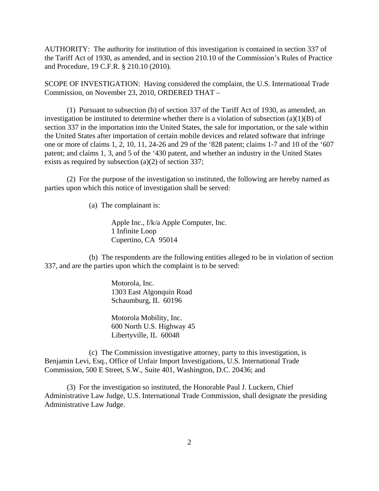AUTHORITY: The authority for institution of this investigation is contained in section 337 of the Tariff Act of 1930, as amended, and in section 210.10 of the Commission's Rules of Practice and Procedure, 19 C.F.R. § 210.10 (2010).

SCOPE OF INVESTIGATION: Having considered the complaint, the U.S. International Trade Commission, on November 23, 2010, ORDERED THAT –

(1) Pursuant to subsection (b) of section 337 of the Tariff Act of 1930, as amended, an investigation be instituted to determine whether there is a violation of subsection  $(a)(1)(B)$  of section 337 in the importation into the United States, the sale for importation, or the sale within the United States after importation of certain mobile devices and related software that infringe one or more of claims 1, 2, 10, 11, 24-26 and 29 of the '828 patent; claims 1-7 and 10 of the '607 patent; and claims 1, 3, and 5 of the '430 patent, and whether an industry in the United States exists as required by subsection (a)(2) of section 337;

(2) For the purpose of the investigation so instituted, the following are hereby named as parties upon which this notice of investigation shall be served:

(a) The complainant is:

Apple Inc., f/k/a Apple Computer, Inc. 1 Infinite Loop Cupertino, CA 95014

(b) The respondents are the following entities alleged to be in violation of section 337, and are the parties upon which the complaint is to be served:

> Motorola, Inc. 1303 East Algonquin Road Schaumburg, IL 60196

Motorola Mobility, Inc. 600 North U.S. Highway 45 Libertyville, IL 60048

(c) The Commission investigative attorney, party to this investigation, is Benjamin Levi, Esq., Office of Unfair Import Investigations, U.S. International Trade Commission, 500 E Street, S.W., Suite 401, Washington, D.C. 20436; and

(3) For the investigation so instituted, the Honorable Paul J. Luckern, Chief Administrative Law Judge, U.S. International Trade Commission, shall designate the presiding Administrative Law Judge.